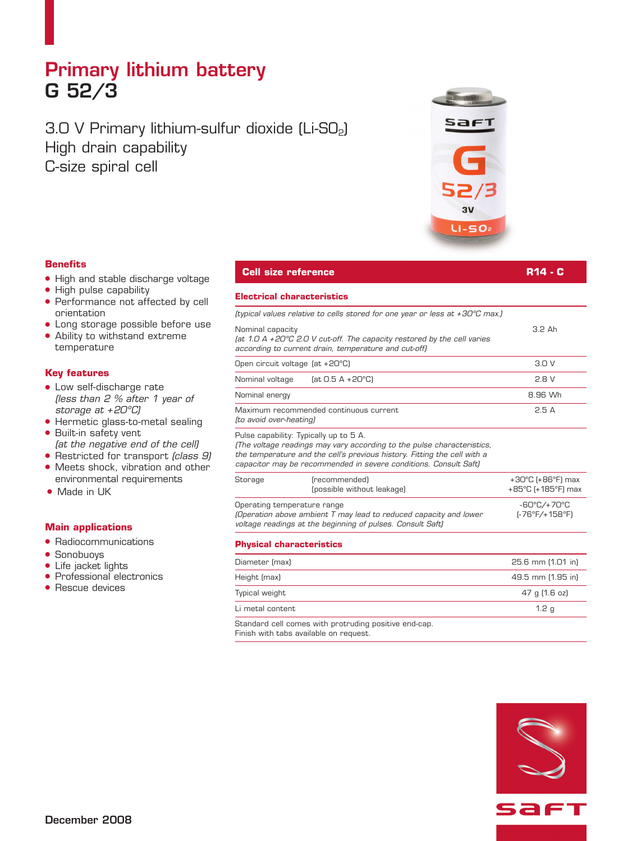# Primary lithium battery G 52/3

3.0 V Primary lithium-sulfur dioxide (Li-SO<sub>2</sub>) High drain capability C-size spiral cell

## **Benefits**

- $\bullet$  High and stable discharge voltage
- High pulse capability
- Performance not affected by cell orientation
- Long storage possible before use
- Ability to withstand extreme temperature

### **Key features**

- Low self-discharge rate (less than 2 % after 1 year of storage at +20ºC)
- Hermetic glass-to-metal sealing • Built-in safety vent
- (at the negative end of the cell)
- Restricted for transport (class 9) • Meets shock, vibration and other
- environmental requirements
- $\bullet$  Made in UK

# **Main applications**

- $\bullet$  Radiocommunications
- Sonobuoys
- $\bullet$  Life jacket lights
- Professional electronics
- $\bullet$  Rescue devices

# **Cell size reference R14 - C**

#### **Electrical characteristics**

(typical values relative to cells stored for one year or less at +30ºC max.) Nominal capacity 3.2 Ah (at 1.0 A +20ºC 2.0 V cut-off. The capacity restored by the cell varies

SaFT

 $3V$  $Li-SO$ 

|                                                                   | according to current drain, temperature and cut-off)                                                                                                                                                                                                             |                                         |
|-------------------------------------------------------------------|------------------------------------------------------------------------------------------------------------------------------------------------------------------------------------------------------------------------------------------------------------------|-----------------------------------------|
| Open circuit voltage (at +20°C)                                   |                                                                                                                                                                                                                                                                  | 3.0V                                    |
| Nominal voltage                                                   | $[at 0.5 A + 20^{\circ}C]$                                                                                                                                                                                                                                       | 2.8 V                                   |
| Nominal energy                                                    |                                                                                                                                                                                                                                                                  | 8.96 Wh                                 |
| Maximum recommended continuous current<br>(to avoid over-heating) |                                                                                                                                                                                                                                                                  | 2.5A                                    |
|                                                                   | Pulse capability: Typically up to 5 A.<br>(The voltage readings may vary according to the pulse characteristics,<br>the temperature and the cell's previous history. Fitting the cell with a<br>capacitor may be recommended in severe conditions. Consult Saft) |                                         |
| Storage                                                           | (recommended)<br>(possible without leakage)                                                                                                                                                                                                                      | +30°C (+86°F) max<br>+85°C (+185°F) max |
| Operating temperature range                                       |                                                                                                                                                                                                                                                                  | -60°C/+70°C                             |

(Operation above ambient T may lead to reduced capacity and lower (-76ºF/+158ºF) voltage readings at the beginning of pulses. Consult Saft)

#### **Physical characteristics**

| Diameter (max)                                        | 25.6 mm (1.01 in) |
|-------------------------------------------------------|-------------------|
| Height (max)                                          | 49.5 mm (1.95 in) |
| Typical weight                                        | 47 g (1.6 oz)     |
| Li metal content                                      | 1.2 <sub>q</sub>  |
| Standard cell comes with protruding positive end-cap. |                   |

Finish with tabs available on request.